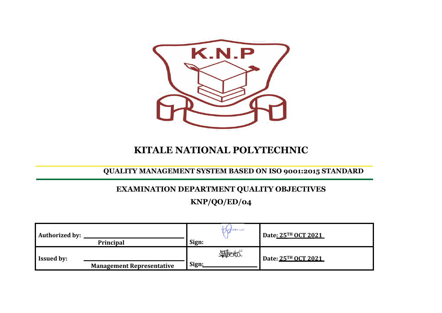

## **KITALE NATIONAL POLYTECHNIC**

**QUALITY MANAGEMENT SYSTEM BASED ON ISO 9001:2015 STANDARD**

# **EXAMINATION DEPARTMENT QUALITY OBJECTIVES**

**KNP/QO/ED/04**

| <b>Authorized by:</b> | Principal                        | mark<br>Sign: | Date: 25TH OCT 2021 |
|-----------------------|----------------------------------|---------------|---------------------|
| <b>Issued by:</b>     | <b>Management Representative</b> | 睡地<br>Sign:   | Date: 25TH OCT 2021 |